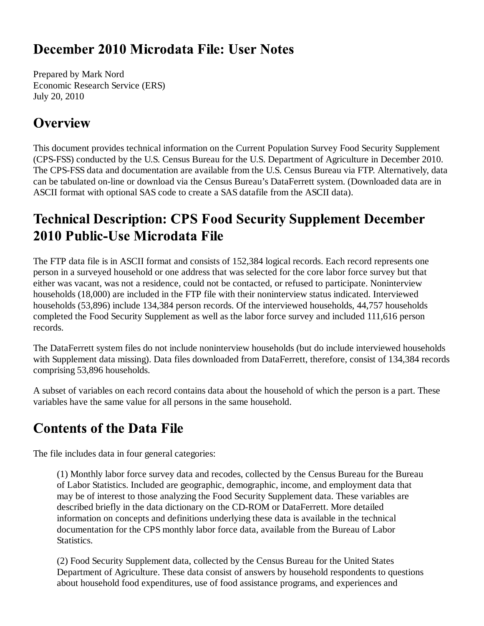#### December 2010 Microdata File: User Notes

Prepared by Mark Nord Economic Research Service (ERS) July 20, 2010

#### **Overview**

This document provides technical information on the Current Population Survey Food Security Supplement (CPS-FSS) conducted by the U.S. Census Bureau for the U.S. Department of Agriculture in December 2010. The CPS-FSS data and documentation are available from the U.S. Census Bureau via FTP. Alternatively, data can be tabulated on-line or download via the Census Bureau's DataFerrett system. (Downloaded data are in ASCII format with optional SAS code to create a SAS datafile from the ASCII data).

# **Technical Description: CPS Food Security Supplement December** 2010 Public-Use Microdata File

The FTP data file is in ASCII format and consists of 152,384 logical records. Each record represents one person in a surveyed household or one address that was selected for the core labor force survey but that either was vacant, was not a residence, could not be contacted, or refused to participate. Noninterview households (18,000) are included in the FTP file with their noninterview status indicated. Interviewed households (53,896) include 134,384 person records. Of the interviewed households, 44,757 households completed the Food Security Supplement as well as the labor force survey and included 111,616 person records.

The DataFerrett system files do not include noninterview households (but do include interviewed households with Supplement data missing). Data files downloaded from DataFerrett, therefore, consist of 134,384 records comprising 53,896 households.

A subset of variables on each record contains data about the household of which the person is a part. These variables have the same value for all persons in the same household.

# **Contents of the Data File**

The file includes data in four general categories:

(1) Monthly labor force survey data and recodes, collected by the Census Bureau for the Bureau of Labor Statistics. Included are geographic, demographic, income, and employment data that may be of interest to those analyzing the Food Security Supplement data. These variables are described briefly in the data dictionary on the CD-ROM or DataFerrett. More detailed information on concepts and definitions underlying these data is available in the technical documentation for the CPS monthly labor force data, available from the Bureau of Labor Statistics.

(2) Food Security Supplement data, collected by the Census Bureau for the United States Department of Agriculture. These data consist of answers by household respondents to questions about household food expenditures, use of food assistance programs, and experiences and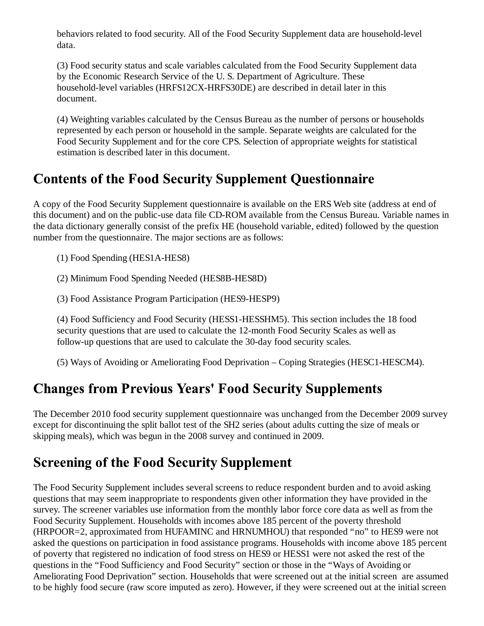behaviors related to food security. All of the Food Security Supplement data are household-level data.

(3) Food security status and scale variables calculated from the Food Security Supplement data by the Economic Research Service of the U. S. Department of Agriculture. These household-level variables (HRFS12CX-HRFS30DE) are described in detail later in this document.

(4) Weighting variables calculated by the Census Bureau as the number of persons or households represented by each person or household in the sample. Separate weights are calculated for the Food Security Supplement and for the core CPS. Selection of appropriate weights for statistical estimation is described later in this document.

## **Contents of the Food Security Supplement Questionnaire**

A copy of the Food Security Supplement questionnaire is available on the ERS Web site (address at end of this document) and on the public-use data file CD-ROM available from the Census Bureau. Variable names in the data dictionary generally consist of the prefix HE (household variable, edited) followed by the question number from the questionnaire. The major sections are as follows:

(1) Food Spending (HES1A-HES8)

(2) Minimum Food Spending Needed (HES8B-HES8D)

(3) Food Assistance Program Participation (HES9-HESP9)

(4) Food Sufficiency and Food Security (HESS1-HESSHM5). This section includes the 18 food security questions that are used to calculate the 12-month Food Security Scales as well as follow-up questions that are used to calculate the 30-day food security scales.

(5) Ways of Avoiding or Ameliorating Food Deprivation – Coping Strategies (HESC1-HESCM4).

# **Changes from Previous Years' Food Security Supplements**

The December 2010 food security supplement questionnaire was unchanged from the December 2009 survey except for discontinuing the split ballot test of the SH2 series (about adults cutting the size of meals or skipping meals), which was begun in the 2008 survey and continued in 2009.

# **Screening of the Food Security Supplement**

The Food Security Supplement includes several screens to reduce respondent burden and to avoid asking questions that may seem inappropriate to respondents given other information they have provided in the survey. The screener variables use information from the monthly labor force core data as well as from the Food Security Supplement. Households with incomes above 185 percent of the poverty threshold (HRPOOR=2, approximated from HUFAMINC and HRNUMHOU) that responded "no" to HES9 were not asked the questions on participation in food assistance programs. Households with income above 185 percent of poverty that registered no indication of food stress on HES9 or HESS1 were not asked the rest of the questions in the "Food Sufficiency and Food Security" section or those in the "Ways of Avoiding or Ameliorating Food Deprivation" section. Households that were screened out at the initial screen are assumed to be highly food secure (raw score imputed as zero). However, if they were screened out at the initial screen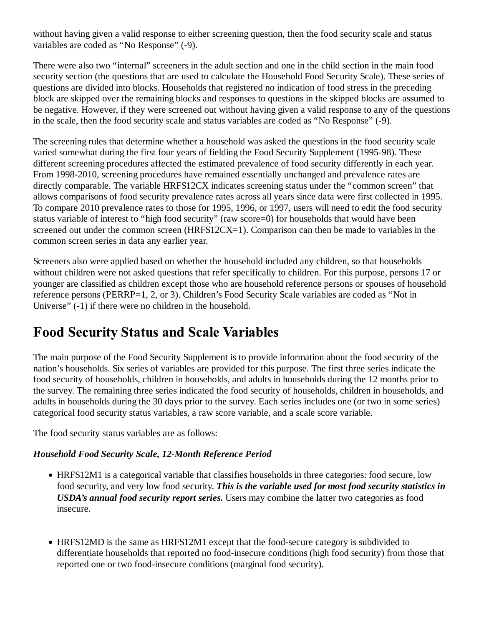without having given a valid response to either screening question, then the food security scale and status variables are coded as "No Response" (-9).

There were also two "internal" screeners in the adult section and one in the child section in the main food security section (the questions that are used to calculate the Household Food Security Scale). These series of questions are divided into blocks. Households that registered no indication of food stress in the preceding block are skipped over the remaining blocks and responses to questions in the skipped blocks are assumed to be negative. However, if they were screened out without having given a valid response to any of the questions in the scale, then the food security scale and status variables are coded as "No Response" (-9).

The screening rules that determine whether a household was asked the questions in the food security scale varied somewhat during the first four years of fielding the Food Security Supplement (1995-98). These different screening procedures affected the estimated prevalence of food security differently in each year. From 1998-2010, screening procedures have remained essentially unchanged and prevalence rates are directly comparable. The variable HRFS12CX indicates screening status under the "common screen" that allows comparisons of food security prevalence rates across all years since data were first collected in 1995. To compare 2010 prevalence rates to those for 1995, 1996, or 1997, users will need to edit the food security status variable of interest to "high food security" (raw score=0) for households that would have been screened out under the common screen (HRFS12CX=1). Comparison can then be made to variables in the common screen series in data any earlier year.

Screeners also were applied based on whether the household included any children, so that households without children were not asked questions that refer specifically to children. For this purpose, persons 17 or younger are classified as children except those who are household reference persons or spouses of household reference persons (PERRP=1, 2, or 3). Children's Food Security Scale variables are coded as "Not in Universe" (-1) if there were no children in the household.

#### **Food Security Status and Scale Variables**

The main purpose of the Food Security Supplement is to provide information about the food security of the nation's households. Six series of variables are provided for this purpose. The first three series indicate the food security of households, children in households, and adults in households during the 12 months prior to the survey. The remaining three series indicated the food security of households, children in households, and adults in households during the 30 days prior to the survey. Each series includes one (or two in some series) categorical food security status variables, a raw score variable, and a scale score variable.

The food security status variables are as follows:

#### *Household Food Security Scale, 12-Month Reference Period*

- HRFS12M1 is a categorical variable that classifies households in three categories: food secure, low food security, and very low food security. *This is the variable used for most food security statistics in USDA's annual food security report series.* Users may combine the latter two categories as food insecure.
- HRFS12MD is the same as HRFS12M1 except that the food-secure category is subdivided to differentiate households that reported no food-insecure conditions (high food security) from those that reported one or two food-insecure conditions (marginal food security).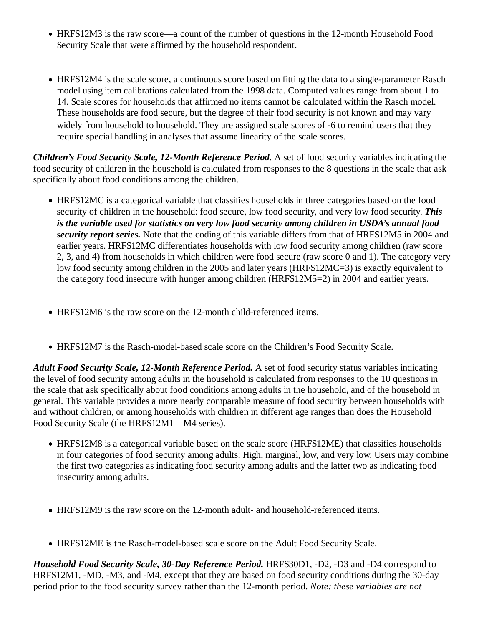- HRFS12M3 is the raw score—a count of the number of questions in the 12-month Household Food Security Scale that were affirmed by the household respondent.
- HRFS12M4 is the scale score, a continuous score based on fitting the data to a single-parameter Rasch model using item calibrations calculated from the 1998 data. Computed values range from about 1 to 14. Scale scores for households that affirmed no items cannot be calculated within the Rasch model. These households are food secure, but the degree of their food security is not known and may vary widely from household to household. They are assigned scale scores of -6 to remind users that they require special handling in analyses that assume linearity of the scale scores.

*Children's Food Security Scale, 12-Month Reference Period.* A set of food security variables indicating the food security of children in the household is calculated from responses to the 8 questions in the scale that ask specifically about food conditions among the children.

- HRFS12MC is a categorical variable that classifies households in three categories based on the food security of children in the household: food secure, low food security, and very low food security. *This is the variable used for statistics on very low food security among children in USDA's annual food security report series.* Note that the coding of this variable differs from that of HRFS12M5 in 2004 and earlier years. HRFS12MC differentiates households with low food security among children (raw score 2, 3, and 4) from households in which children were food secure (raw score 0 and 1). The category very low food security among children in the 2005 and later years (HRFS12MC=3) is exactly equivalent to the category food insecure with hunger among children (HRFS12M5=2) in 2004 and earlier years.
- HRFS12M6 is the raw score on the 12-month child-referenced items.
- HRFS12M7 is the Rasch-model-based scale score on the Children's Food Security Scale.

*Adult Food Security Scale, 12-Month Reference Period.* A set of food security status variables indicating the level of food security among adults in the household is calculated from responses to the 10 questions in the scale that ask specifically about food conditions among adults in the household, and of the household in general. This variable provides a more nearly comparable measure of food security between households with and without children, or among households with children in different age ranges than does the Household Food Security Scale (the HRFS12M1—M4 series).

- HRFS12M8 is a categorical variable based on the scale score (HRFS12ME) that classifies households in four categories of food security among adults: High, marginal, low, and very low. Users may combine the first two categories as indicating food security among adults and the latter two as indicating food insecurity among adults.
- HRFS12M9 is the raw score on the 12-month adult- and household-referenced items.
- HRFS12ME is the Rasch-model-based scale score on the Adult Food Security Scale.

*Household Food Security Scale, 30-Day Reference Period.* HRFS30D1, -D2, -D3 and -D4 correspond to HRFS12M1, -MD, -M3, and -M4, except that they are based on food security conditions during the 30-day period prior to the food security survey rather than the 12-month period. *Note: these variables are not*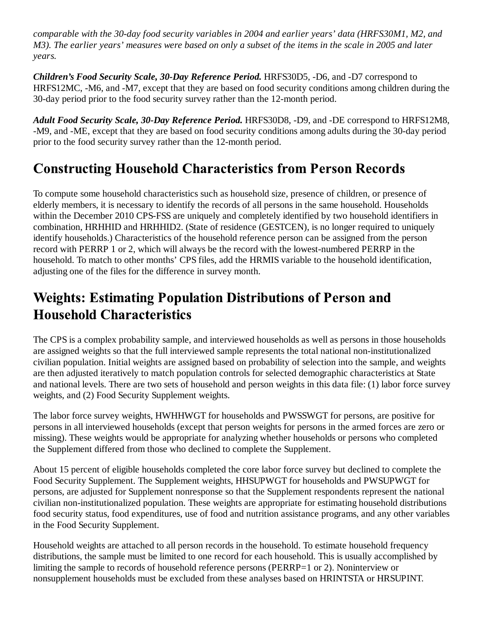*comparable with the 30-day food security variables in 2004 and earlier years' data (HRFS30M1, M2, and M3). The earlier years' measures were based on only a subset of the items in the scale in 2005 and later years.*

*Children's Food Security Scale, 30-Day Reference Period.* HRFS30D5, -D6, and -D7 correspond to HRFS12MC, -M6, and -M7, except that they are based on food security conditions among children during the 30-day period prior to the food security survey rather than the 12-month period.

*Adult Food Security Scale, 30-Day Reference Period.* HRFS30D8, -D9, and -DE correspond to HRFS12M8, -M9, and -ME, except that they are based on food security conditions among adults during the 30-day period prior to the food security survey rather than the 12-month period.

## **Constructing Household Characteristics from Person Records**

To compute some household characteristics such as household size, presence of children, or presence of elderly members, it is necessary to identify the records of all persons in the same household. Households within the December 2010 CPS-FSS are uniquely and completely identified by two household identifiers in combination, HRHHID and HRHHID2. (State of residence (GESTCEN), is no longer required to uniquely identify households.) Characteristics of the household reference person can be assigned from the person record with PERRP 1 or 2, which will always be the record with the lowest-numbered PERRP in the household. To match to other months' CPS files, add the HRMIS variable to the household identification, adjusting one of the files for the difference in survey month.

## **Weights: Estimating Population Distributions of Person and Household Characteristics**

The CPS is a complex probability sample, and interviewed households as well as persons in those households are assigned weights so that the full interviewed sample represents the total national non-institutionalized civilian population. Initial weights are assigned based on probability of selection into the sample, and weights are then adjusted iteratively to match population controls for selected demographic characteristics at State and national levels. There are two sets of household and person weights in this data file: (1) labor force survey weights, and (2) Food Security Supplement weights.

The labor force survey weights, HWHHWGT for households and PWSSWGT for persons, are positive for persons in all interviewed households (except that person weights for persons in the armed forces are zero or missing). These weights would be appropriate for analyzing whether households or persons who completed the Supplement differed from those who declined to complete the Supplement.

About 15 percent of eligible households completed the core labor force survey but declined to complete the Food Security Supplement. The Supplement weights, HHSUPWGT for households and PWSUPWGT for persons, are adjusted for Supplement nonresponse so that the Supplement respondents represent the national civilian non-institutionalized population. These weights are appropriate for estimating household distributions food security status, food expenditures, use of food and nutrition assistance programs, and any other variables in the Food Security Supplement.

Household weights are attached to all person records in the household. To estimate household frequency distributions, the sample must be limited to one record for each household. This is usually accomplished by limiting the sample to records of household reference persons (PERRP=1 or 2). Noninterview or nonsupplement households must be excluded from these analyses based on HRINTSTA or HRSUPINT.